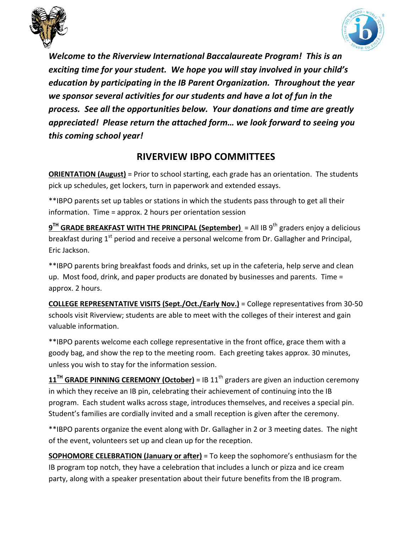



Welcome to the Riverview International Baccalaureate Program! This is an exciting time for your student. We hope you will stay involved in your child's education by participating in the IB Parent Organization. Throughout the year we sponsor several activities for our students and have a lot of fun in the process. See all the opportunities below. Your donations and time are greatly appreciated! Please return the attached form... we look forward to seeing you this coming school year!

## **RIVERVIEW 
 IBPO 
 COMMITTEES**

**ORIENTATION (August)** = Prior to school starting, each grade has an orientation. The students pick up schedules, get lockers, turn in paperwork and extended essays.

\*\*IBPO parents set up tables or stations in which the students pass through to get all their information. Time = approx. 2 hours per orientation session

**9<sup>TH</sup> GRADE BREAKFAST WITH THE PRINCIPAL (September) = All IB 9<sup>th</sup> graders enjoy a delicious** breakfast during  $1<sup>st</sup>$  period and receive a personal welcome from Dr. Gallagher and Principal, Eric Jackson.

\*\*IBPO parents bring breakfast foods and drinks, set up in the cafeteria, help serve and clean up. Most food, drink, and paper products are donated by businesses and parents. Time = approx. 2 hours.

**COLLEGE REPRESENTATIVE VISITS (Sept./Oct./Early Nov.)** = College representatives from 30-50 schools visit Riverview; students are able to meet with the colleges of their interest and gain valuable information.

\*\*IBPO parents welcome each college representative in the front office, grace them with a goody bag, and show the rep to the meeting room. Each greeting takes approx. 30 minutes, unless you wish to stay for the information session.

 $11<sup>TH</sup>$  GRADE PINNING CEREMONY (October) = IB  $11<sup>th</sup>$  graders are given an induction ceremony in which they receive an IB pin, celebrating their achievement of continuing into the IB program. Each student walks across stage, introduces themselves, and receives a special pin. Student's families are cordially invited and a small reception is given after the ceremony.

\*\*IBPO parents organize the event along with Dr. Gallagher in 2 or 3 meeting dates. The night of the event, volunteers set up and clean up for the reception.

**SOPHOMORE CELEBRATION (January or after)** = To keep the sophomore's enthusiasm for the IB program top notch, they have a celebration that includes a lunch or pizza and ice cream party, along with a speaker presentation about their future benefits from the IB program.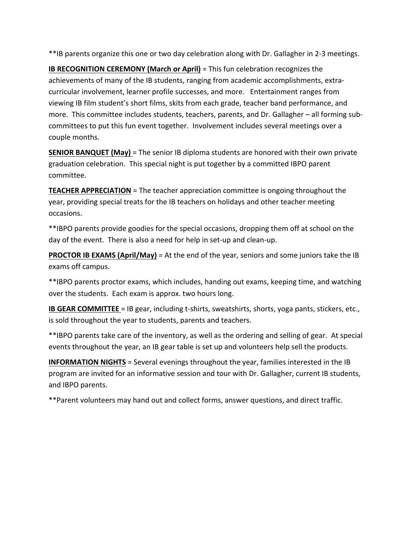\*\*IB parents organize this one or two day celebration along with Dr. Gallagher in 2-3 meetings.

**IB RECOGNITION CEREMONY (March or April)** = This fun celebration recognizes the achievements of many of the IB students, ranging from academic accomplishments, extracurricular involvement, learner profile successes, and more. Entertainment ranges from viewing IB film student's short films, skits from each grade, teacher band performance, and more. This committee includes students, teachers, parents, and Dr. Gallagher - all forming subcommittees to put this fun event together. Involvement includes several meetings over a couple months.

**SENIOR BANQUET (May)** = The senior IB diploma students are honored with their own private graduation celebration. This special night is put together by a committed IBPO parent committee. 

**TEACHER APPRECIATION** = The teacher appreciation committee is ongoing throughout the year, providing special treats for the IB teachers on holidays and other teacher meeting occasions. 

\*\*IBPO parents provide goodies for the special occasions, dropping them off at school on the day of the event. There is also a need for help in set-up and clean-up.

**PROCTOR IB EXAMS (April/May)** = At the end of the year, seniors and some juniors take the IB exams off campus.

\*\*IBPO parents proctor exams, which includes, handing out exams, keeping time, and watching over the students. Each exam is approx. two hours long.

**IB GEAR COMMITTEE** = IB gear, including t-shirts, sweatshirts, shorts, yoga pants, stickers, etc., is sold throughout the year to students, parents and teachers.

\*\*IBPO parents take care of the inventory, as well as the ordering and selling of gear. At special events throughout the year, an IB gear table is set up and volunteers help sell the products.

**INFORMATION NIGHTS** = Several evenings throughout the year, families interested in the IB program are invited for an informative session and tour with Dr. Gallagher, current IB students, and IBPO parents.

\*\* Parent volunteers may hand out and collect forms, answer questions, and direct traffic.